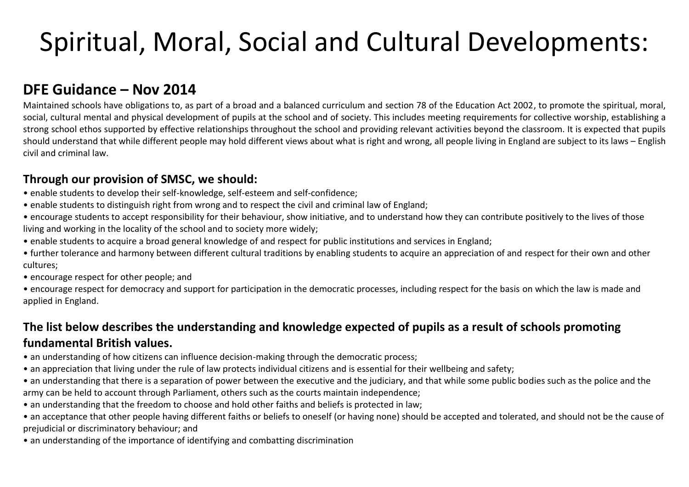# Spiritual, Moral, Social and Cultural Developments:

### **DFE Guidance – Nov 2014**

Maintained schools have obligations to, as part of a broad and a balanced curriculum and section 78 of the Education Act 2002, to promote the spiritual, moral, social, cultural mental and physical development of pupils at the school and of society. This includes meeting requirements for collective worship, establishing a strong school ethos supported by effective relationships throughout the school and providing relevant activities beyond the classroom. It is expected that pupils should understand that while different people may hold different views about what is right and wrong, all people living in England are subject to its laws – English civil and criminal law.

#### **Through our provision of SMSC, we should:**

- enable students to develop their self-knowledge, self-esteem and self-confidence;
- enable students to distinguish right from wrong and to respect the civil and criminal law of England;
- encourage students to accept responsibility for their behaviour, show initiative, and to understand how they can contribute positively to the lives of those living and working in the locality of the school and to society more widely;
- enable students to acquire a broad general knowledge of and respect for public institutions and services in England;
- further tolerance and harmony between different cultural traditions by enabling students to acquire an appreciation of and respect for their own and other cultures;
- encourage respect for other people; and
- encourage respect for democracy and support for participation in the democratic processes, including respect for the basis on which the law is made and applied in England.

#### **The list below describes the understanding and knowledge expected of pupils as a result of schools promoting fundamental British values.**

- an understanding of how citizens can influence decision-making through the democratic process;
- an appreciation that living under the rule of law protects individual citizens and is essential for their wellbeing and safety;
- an understanding that there is a separation of power between the executive and the judiciary, and that while some public bodies such as the police and the army can be held to account through Parliament, others such as the courts maintain independence;
- an understanding that the freedom to choose and hold other faiths and beliefs is protected in law;
- an acceptance that other people having different faiths or beliefs to oneself (or having none) should be accepted and tolerated, and should not be the cause of prejudicial or discriminatory behaviour; and
- an understanding of the importance of identifying and combatting discrimination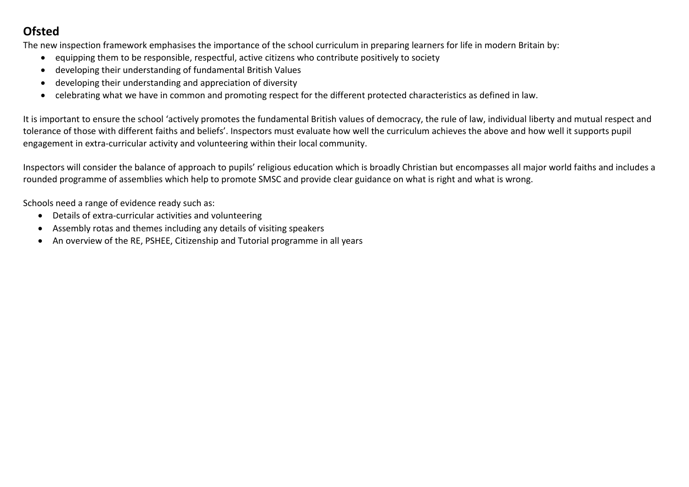#### **Ofsted**

The new inspection framework emphasises the importance of the school curriculum in preparing learners for life in modern Britain by:

- equipping them to be responsible, respectful, active citizens who contribute positively to society
- developing their understanding of fundamental British Values
- developing their understanding and appreciation of diversity
- celebrating what we have in common and promoting respect for the different protected characteristics as defined in law.

It is important to ensure the school 'actively promotes the fundamental British values of democracy, the rule of law, individual liberty and mutual respect and tolerance of those with different faiths and beliefs'. Inspectors must evaluate how well the curriculum achieves the above and how well it supports pupil engagement in extra-curricular activity and volunteering within their local community.

Inspectors will consider the balance of approach to pupils' religious education which is broadly Christian but encompasses all major world faiths and includes a rounded programme of assemblies which help to promote SMSC and provide clear guidance on what is right and what is wrong.

Schools need a range of evidence ready such as:

- Details of extra-curricular activities and volunteering
- Assembly rotas and themes including any details of visiting speakers
- An overview of the RE, PSHEE, Citizenship and Tutorial programme in all years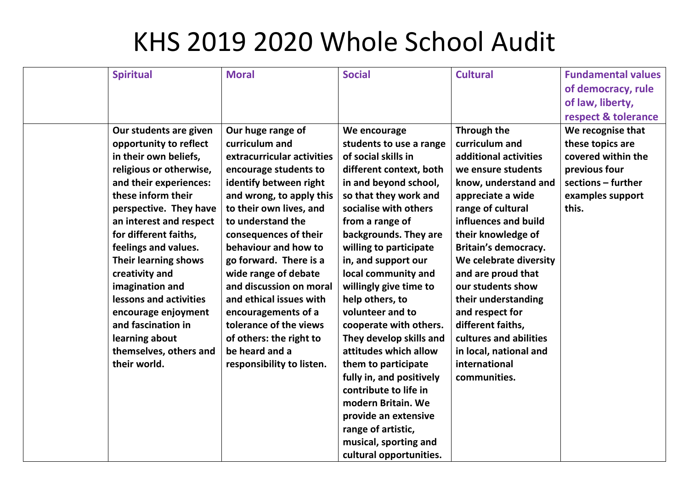## KHS 2019 2020 Whole School Audit

| <b>Spiritual</b>        | <b>Moral</b>               | <b>Social</b>            | <b>Cultural</b>             | <b>Fundamental values</b> |
|-------------------------|----------------------------|--------------------------|-----------------------------|---------------------------|
|                         |                            |                          |                             | of democracy, rule        |
|                         |                            |                          |                             | of law, liberty,          |
|                         |                            |                          |                             | respect & tolerance       |
| Our students are given  | Our huge range of          | We encourage             | <b>Through the</b>          | We recognise that         |
| opportunity to reflect  | curriculum and             | students to use a range  | curriculum and              | these topics are          |
| in their own beliefs,   | extracurricular activities | of social skills in      | additional activities       | covered within the        |
| religious or otherwise, | encourage students to      | different context, both  | we ensure students          | previous four             |
| and their experiences:  | identify between right     | in and beyond school,    | know, understand and        | sections - further        |
| these inform their      | and wrong, to apply this   | so that they work and    | appreciate a wide           | examples support          |
| perspective. They have  | to their own lives, and    | socialise with others    | range of cultural           | this.                     |
| an interest and respect | to understand the          | from a range of          | influences and build        |                           |
| for different faiths,   | consequences of their      | backgrounds. They are    | their knowledge of          |                           |
| feelings and values.    | behaviour and how to       | willing to participate   | <b>Britain's democracy.</b> |                           |
| Their learning shows    | go forward. There is a     | in, and support our      | We celebrate diversity      |                           |
| creativity and          | wide range of debate       | local community and      | and are proud that          |                           |
| imagination and         | and discussion on moral    | willingly give time to   | our students show           |                           |
| lessons and activities  | and ethical issues with    | help others, to          | their understanding         |                           |
| encourage enjoyment     | encouragements of a        | volunteer and to         | and respect for             |                           |
| and fascination in      | tolerance of the views     | cooperate with others.   | different faiths,           |                           |
| learning about          | of others: the right to    | They develop skills and  | cultures and abilities      |                           |
| themselves, others and  | be heard and a             | attitudes which allow    | in local, national and      |                           |
| their world.            | responsibility to listen.  | them to participate      | international               |                           |
|                         |                            | fully in, and positively | communities.                |                           |
|                         |                            | contribute to life in    |                             |                           |
|                         |                            | modern Britain. We       |                             |                           |
|                         |                            | provide an extensive     |                             |                           |
|                         |                            | range of artistic,       |                             |                           |
|                         |                            | musical, sporting and    |                             |                           |
|                         |                            | cultural opportunities.  |                             |                           |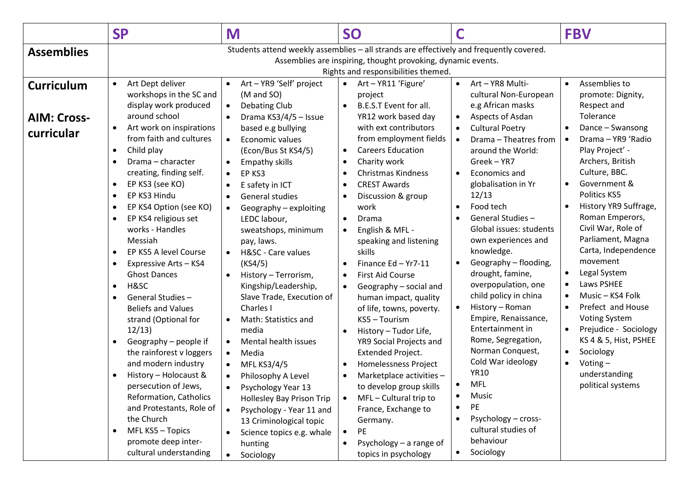|                                                       | <b>SP</b>                                                                                                                                                                                                                                                                                                                                                                                                                                                                                                                                                                                                                                                                                                                                                                                                                         | M                                                                                                                                                                                                                                                                                                                                                                                                                                                                                                                                                                                                                       | <b>SO</b>                                                                                                                                                                                                                                                                                                                                                                                                                                                                                                                                                                                                                                                                                                                                                                                                                                                                          |                                                                                                                                                                                                                                                                                                                                                                                                                                                                                                                                                                                                                                                                                                                   | <b>FBV</b>                                                                                                                                                                                                                                                                                                                                                                                                                                                                                                                                                                                                                        |
|-------------------------------------------------------|-----------------------------------------------------------------------------------------------------------------------------------------------------------------------------------------------------------------------------------------------------------------------------------------------------------------------------------------------------------------------------------------------------------------------------------------------------------------------------------------------------------------------------------------------------------------------------------------------------------------------------------------------------------------------------------------------------------------------------------------------------------------------------------------------------------------------------------|-------------------------------------------------------------------------------------------------------------------------------------------------------------------------------------------------------------------------------------------------------------------------------------------------------------------------------------------------------------------------------------------------------------------------------------------------------------------------------------------------------------------------------------------------------------------------------------------------------------------------|------------------------------------------------------------------------------------------------------------------------------------------------------------------------------------------------------------------------------------------------------------------------------------------------------------------------------------------------------------------------------------------------------------------------------------------------------------------------------------------------------------------------------------------------------------------------------------------------------------------------------------------------------------------------------------------------------------------------------------------------------------------------------------------------------------------------------------------------------------------------------------|-------------------------------------------------------------------------------------------------------------------------------------------------------------------------------------------------------------------------------------------------------------------------------------------------------------------------------------------------------------------------------------------------------------------------------------------------------------------------------------------------------------------------------------------------------------------------------------------------------------------------------------------------------------------------------------------------------------------|-----------------------------------------------------------------------------------------------------------------------------------------------------------------------------------------------------------------------------------------------------------------------------------------------------------------------------------------------------------------------------------------------------------------------------------------------------------------------------------------------------------------------------------------------------------------------------------------------------------------------------------|
| <b>Assemblies</b>                                     | Students attend weekly assemblies - all strands are effectively and frequently covered.<br>Assemblies are inspiring, thought provoking, dynamic events.                                                                                                                                                                                                                                                                                                                                                                                                                                                                                                                                                                                                                                                                           |                                                                                                                                                                                                                                                                                                                                                                                                                                                                                                                                                                                                                         |                                                                                                                                                                                                                                                                                                                                                                                                                                                                                                                                                                                                                                                                                                                                                                                                                                                                                    |                                                                                                                                                                                                                                                                                                                                                                                                                                                                                                                                                                                                                                                                                                                   |                                                                                                                                                                                                                                                                                                                                                                                                                                                                                                                                                                                                                                   |
| <b>Curriculum</b><br><b>AIM: Cross-</b><br>curricular | Art Dept deliver<br>$\bullet$<br>workshops in the SC and<br>display work produced<br>around school<br>Art work on inspirations<br>$\bullet$<br>from faith and cultures<br>Child play<br>$\bullet$<br>Drama - character<br>$\bullet$<br>creating, finding self.<br>EP KS3 (see KO)<br>$\bullet$<br>EP KS3 Hindu<br>$\bullet$<br>EP KS4 Option (see KO)<br>$\bullet$<br>EP KS4 religious set<br>$\bullet$<br>works - Handles<br>Messiah<br>EP KS5 A level Course<br>$\bullet$<br>Expressive Arts - KS4<br>$\bullet$<br><b>Ghost Dances</b><br>H&SC<br>$\bullet$<br>General Studies-<br>$\bullet$<br><b>Beliefs and Values</b><br>strand (Optional for<br>12/13)<br>Geography - people if<br>$\bullet$<br>the rainforest v loggers<br>and modern industry<br>History - Holocaust &<br>persecution of Jews,<br>Reformation, Catholics | Art - YR9 'Self' project<br>(M and SO)<br><b>Debating Club</b><br>Drama KS3/4/5 - Issue<br>based e.g bullying<br>Economic values<br>(Econ/Bus St KS4/5)<br>Empathy skills<br>EP KS3<br>$\bullet$<br>E safety in ICT<br>General studies<br>Geography - exploiting<br>LEDC labour,<br>sweatshops, minimum<br>pay, laws.<br>H&SC - Care values<br>(KS4/5)<br>History - Terrorism,<br>Kingship/Leadership,<br>Slave Trade, Execution of<br>Charles I<br>Math: Statistics and<br>media<br>Mental health issues<br>Media<br>MFL KS3/4/5<br>$\bullet$<br>Philosophy A Level<br>Psychology Year 13<br>Hollesley Bay Prison Trip | Rights and responsibilities themed.<br>Art - YR11 'Figure'<br>$\bullet$<br>project<br>B.E.S.T Event for all.<br>$\bullet$<br>YR12 work based day<br>with ext contributors<br>from employment fields<br><b>Careers Education</b><br>$\bullet$<br>Charity work<br>$\bullet$<br><b>Christmas Kindness</b><br>$\bullet$<br><b>CREST Awards</b><br>$\bullet$<br>Discussion & group<br>$\bullet$<br>work<br>Drama<br>$\bullet$<br>English & MFL -<br>$\bullet$<br>speaking and listening<br>skills<br>Finance Ed - Yr7-11<br><b>First Aid Course</b><br>$\bullet$<br>Geography - social and<br>$\bullet$<br>human impact, quality<br>of life, towns, poverty.<br>KS5 - Tourism<br>History - Tudor Life,<br>YR9 Social Projects and<br>Extended Project.<br>Homelessness Project<br>$\bullet$<br>Marketplace activities -<br>to develop group skills<br>MFL-Cultural trip to<br>$\bullet$ | Art - YR8 Multi-<br>$\bullet$<br>cultural Non-European<br>e.g African masks<br>Aspects of Asdan<br>$\bullet$<br><b>Cultural Poetry</b><br>$\bullet$<br>Drama - Theatres from<br>$\bullet$<br>around the World:<br>Greek - YR7<br>Economics and<br>$\bullet$<br>globalisation in Yr<br>12/13<br>Food tech<br>$\bullet$<br>General Studies-<br>$\bullet$<br>Global issues: students<br>own experiences and<br>knowledge.<br>Geography - flooding,<br>$\bullet$<br>drought, famine,<br>overpopulation, one<br>child policy in china<br>History - Roman<br>Empire, Renaissance,<br>Entertainment in<br>Rome, Segregation,<br>Norman Conquest,<br>Cold War ideology<br><b>YR10</b><br><b>MFL</b><br>Music<br>$\bullet$ | Assemblies to<br>$\bullet$<br>promote: Dignity,<br>Respect and<br>Tolerance<br>Dance - Swansong<br>Drama - YR9 'Radio<br>$\bullet$<br>Play Project' -<br>Archers, British<br>Culture, BBC.<br>Government &<br>$\bullet$<br><b>Politics KS5</b><br>History YR9 Suffrage,<br>Roman Emperors,<br>Civil War, Role of<br>Parliament, Magna<br>Carta, Independence<br>movement<br>Legal System<br>Laws PSHEE<br>Music - KS4 Folk<br>Prefect and House<br>$\bullet$<br><b>Voting System</b><br>Prejudice - Sociology<br>$\bullet$<br>KS 4 & 5, Hist, PSHEE<br>Sociology<br>$\bullet$<br>Voting $-$<br>understanding<br>political systems |
|                                                       | and Protestants, Role of<br>the Church<br>MFL KS5 - Topics<br>$\bullet$<br>promote deep inter-<br>cultural understanding                                                                                                                                                                                                                                                                                                                                                                                                                                                                                                                                                                                                                                                                                                          | Psychology - Year 11 and<br>13 Criminological topic<br>Science topics e.g. whale<br>hunting<br>Sociology                                                                                                                                                                                                                                                                                                                                                                                                                                                                                                                | France, Exchange to<br>Germany.<br>PE<br>$\bullet$<br>Psychology - a range of<br>topics in psychology                                                                                                                                                                                                                                                                                                                                                                                                                                                                                                                                                                                                                                                                                                                                                                              | <b>PE</b><br>Psychology - cross-<br>$\bullet$<br>cultural studies of<br>behaviour<br>Sociology<br>$\bullet$                                                                                                                                                                                                                                                                                                                                                                                                                                                                                                                                                                                                       |                                                                                                                                                                                                                                                                                                                                                                                                                                                                                                                                                                                                                                   |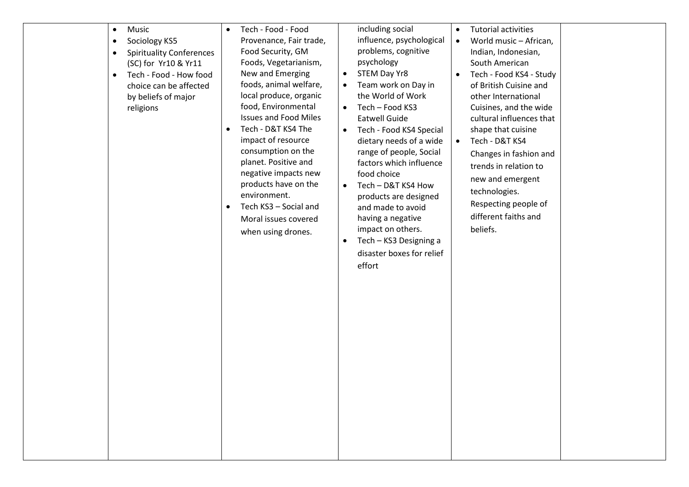| Music<br>$\bullet$<br>Sociology KS5<br>$\bullet$<br><b>Spirituality Conferences</b><br>$\bullet$<br>(SC) for Yr10 & Yr11<br>Tech - Food - How food<br>$\bullet$<br>choice can be affected<br>by beliefs of major<br>religions | Tech - Food - Food<br>$\bullet$<br>Provenance, Fair trade,<br>Food Security, GM<br>Foods, Vegetarianism,<br>New and Emerging<br>foods, animal welfare,<br>local produce, organic<br>food, Environmental<br><b>Issues and Food Miles</b><br>Tech - D&T KS4 The<br>impact of resource<br>consumption on the<br>planet. Positive and<br>negative impacts new<br>products have on the<br>environment.<br>Tech KS3 - Social and<br>٠<br>Moral issues covered<br>when using drones. | including social<br>influence, psychological<br>problems, cognitive<br>psychology<br>STEM Day Yr8<br>$\bullet$<br>Team work on Day in<br>$\bullet$<br>the World of Work<br>Tech - Food KS3<br>$\bullet$<br><b>Eatwell Guide</b><br>Tech - Food KS4 Special<br>$\bullet$<br>dietary needs of a wide<br>range of people, Social<br>factors which influence<br>food choice<br>Tech - D&T KS4 How<br>$\bullet$<br>products are designed<br>and made to avoid<br>having a negative<br>impact on others.<br>Tech - KS3 Designing a<br>$\bullet$<br>disaster boxes for relief | <b>Tutorial activities</b><br>$\bullet$<br>World music - African,<br>$\bullet$<br>Indian, Indonesian,<br>South American<br>Tech - Food KS4 - Study<br>of British Cuisine and<br>other International<br>Cuisines, and the wide<br>cultural influences that<br>shape that cuisine<br>Tech - D&T KS4<br>$\bullet$<br>Changes in fashion and<br>trends in relation to<br>new and emergent<br>technologies.<br>Respecting people of<br>different faiths and<br>beliefs. |
|-------------------------------------------------------------------------------------------------------------------------------------------------------------------------------------------------------------------------------|-------------------------------------------------------------------------------------------------------------------------------------------------------------------------------------------------------------------------------------------------------------------------------------------------------------------------------------------------------------------------------------------------------------------------------------------------------------------------------|------------------------------------------------------------------------------------------------------------------------------------------------------------------------------------------------------------------------------------------------------------------------------------------------------------------------------------------------------------------------------------------------------------------------------------------------------------------------------------------------------------------------------------------------------------------------|--------------------------------------------------------------------------------------------------------------------------------------------------------------------------------------------------------------------------------------------------------------------------------------------------------------------------------------------------------------------------------------------------------------------------------------------------------------------|
|                                                                                                                                                                                                                               |                                                                                                                                                                                                                                                                                                                                                                                                                                                                               | effort                                                                                                                                                                                                                                                                                                                                                                                                                                                                                                                                                                 |                                                                                                                                                                                                                                                                                                                                                                                                                                                                    |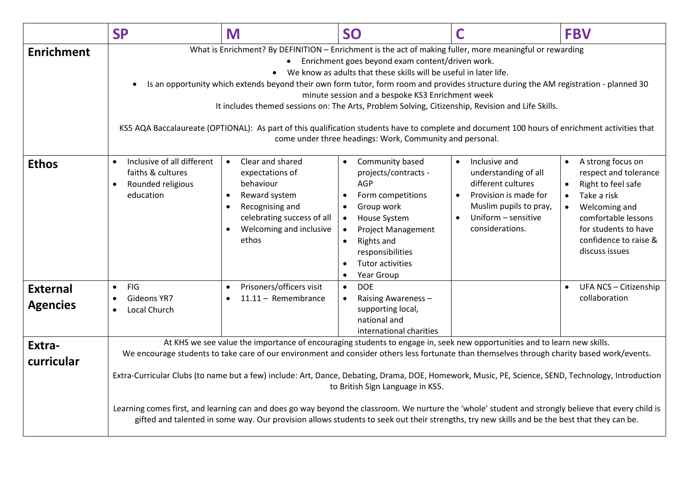|                                    | <b>SP</b>                                                                                                                                                                                                                                                                                                                                                                                                                                                                                                                                                                                                                                                                                                                                                                 | M                                                                                                                                                      | <b>SO</b>                                                                                                                                                                                                                                                                  |                                                                                                                                                                                                 | <b>FBV</b>                                                                                                                                                                                                           |
|------------------------------------|---------------------------------------------------------------------------------------------------------------------------------------------------------------------------------------------------------------------------------------------------------------------------------------------------------------------------------------------------------------------------------------------------------------------------------------------------------------------------------------------------------------------------------------------------------------------------------------------------------------------------------------------------------------------------------------------------------------------------------------------------------------------------|--------------------------------------------------------------------------------------------------------------------------------------------------------|----------------------------------------------------------------------------------------------------------------------------------------------------------------------------------------------------------------------------------------------------------------------------|-------------------------------------------------------------------------------------------------------------------------------------------------------------------------------------------------|----------------------------------------------------------------------------------------------------------------------------------------------------------------------------------------------------------------------|
| <b>Enrichment</b>                  | What is Enrichment? By DEFINITION - Enrichment is the act of making fuller, more meaningful or rewarding<br>• Enrichment goes beyond exam content/driven work.<br>We know as adults that these skills will be useful in later life.<br>Is an opportunity which extends beyond their own form tutor, form room and provides structure during the AM registration - planned 30<br>minute session and a bespoke KS3 Enrichment week<br>It includes themed sessions on: The Arts, Problem Solving, Citizenship, Revision and Life Skills.<br>KS5 AQA Baccalaureate (OPTIONAL): As part of this qualification students have to complete and document 100 hours of enrichment activities that<br>come under three headings: Work, Community and personal.                       |                                                                                                                                                        |                                                                                                                                                                                                                                                                            |                                                                                                                                                                                                 |                                                                                                                                                                                                                      |
| <b>Ethos</b>                       | Inclusive of all different<br>$\bullet$<br>faiths & cultures<br>Rounded religious<br>$\bullet$<br>education                                                                                                                                                                                                                                                                                                                                                                                                                                                                                                                                                                                                                                                               | Clear and shared<br>expectations of<br>behaviour<br>Reward system<br>Recognising and<br>celebrating success of all<br>Welcoming and inclusive<br>ethos | Community based<br>$\bullet$<br>projects/contracts -<br><b>AGP</b><br>Form competitions<br>$\bullet$<br>Group work<br>$\bullet$<br>House System<br><b>Project Management</b><br>Rights and<br>$\bullet$<br>responsibilities<br>Tutor activities<br>Year Group<br>$\bullet$ | Inclusive and<br>$\bullet$<br>understanding of all<br>different cultures<br>Provision is made for<br>$\bullet$<br>Muslim pupils to pray,<br>Uniform - sensitive<br>$\bullet$<br>considerations. | A strong focus on<br>$\bullet$<br>respect and tolerance<br>Right to feel safe<br>Take a risk<br>Welcoming and<br>$\bullet$<br>comfortable lessons<br>for students to have<br>confidence to raise &<br>discuss issues |
| <b>External</b><br><b>Agencies</b> | FIG<br>$\bullet$<br>Gideons YR7<br><b>Local Church</b>                                                                                                                                                                                                                                                                                                                                                                                                                                                                                                                                                                                                                                                                                                                    | Prisoners/officers visit<br>$11.11 -$ Remembrance                                                                                                      | <b>DOE</b><br>$\bullet$<br>Raising Awareness -<br>supporting local,<br>national and<br>international charities                                                                                                                                                             |                                                                                                                                                                                                 | UFA NCS - Citizenship<br>collaboration                                                                                                                                                                               |
| Extra-<br>curricular               | At KHS we see value the importance of encouraging students to engage in, seek new opportunities and to learn new skills.<br>We encourage students to take care of our environment and consider others less fortunate than themselves through charity based work/events.<br>Extra-Curricular Clubs (to name but a few) include: Art, Dance, Debating, Drama, DOE, Homework, Music, PE, Science, SEND, Technology, Introduction<br>to British Sign Language in KS5.<br>Learning comes first, and learning can and does go way beyond the classroom. We nurture the 'whole' student and strongly believe that every child is<br>gifted and talented in some way. Our provision allows students to seek out their strengths, try new skills and be the best that they can be. |                                                                                                                                                        |                                                                                                                                                                                                                                                                            |                                                                                                                                                                                                 |                                                                                                                                                                                                                      |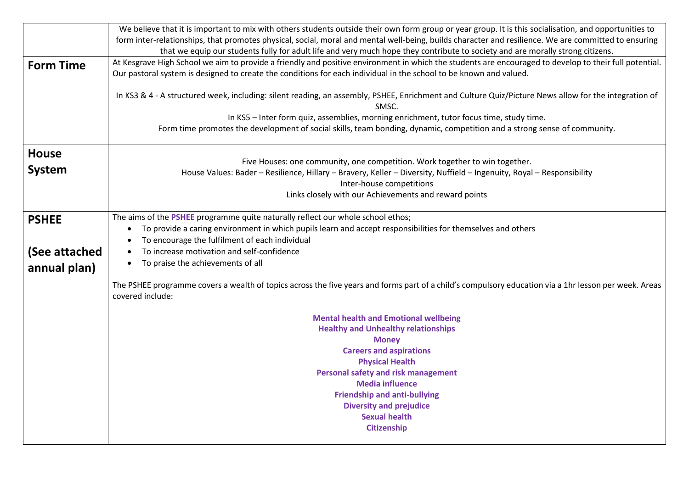|                  | We believe that it is important to mix with others students outside their own form group or year group. It is this socialisation, and opportunities to |
|------------------|--------------------------------------------------------------------------------------------------------------------------------------------------------|
|                  | form inter-relationships, that promotes physical, social, moral and mental well-being, builds character and resilience. We are committed to ensuring   |
|                  | that we equip our students fully for adult life and very much hope they contribute to society and are morally strong citizens.                         |
| <b>Form Time</b> | At Kesgrave High School we aim to provide a friendly and positive environment in which the students are encouraged to develop to their full potential. |
|                  | Our pastoral system is designed to create the conditions for each individual in the school to be known and valued.                                     |
|                  | In KS3 & 4 - A structured week, including: silent reading, an assembly, PSHEE, Enrichment and Culture Quiz/Picture News allow for the integration of   |
|                  | SMSC.                                                                                                                                                  |
|                  | In KS5 - Inter form quiz, assemblies, morning enrichment, tutor focus time, study time.                                                                |
|                  | Form time promotes the development of social skills, team bonding, dynamic, competition and a strong sense of community.                               |
| <b>House</b>     |                                                                                                                                                        |
| <b>System</b>    | Five Houses: one community, one competition. Work together to win together.                                                                            |
|                  | House Values: Bader - Resilience, Hillary - Bravery, Keller - Diversity, Nuffield - Ingenuity, Royal - Responsibility<br>Inter-house competitions      |
|                  | Links closely with our Achievements and reward points                                                                                                  |
|                  |                                                                                                                                                        |
| <b>PSHEE</b>     | The aims of the PSHEE programme quite naturally reflect our whole school ethos;                                                                        |
|                  | To provide a caring environment in which pupils learn and accept responsibilities for themselves and others<br>$\bullet$                               |
|                  | To encourage the fulfilment of each individual                                                                                                         |
| (See attached    | To increase motivation and self-confidence                                                                                                             |
| annual plan)     | To praise the achievements of all                                                                                                                      |
|                  |                                                                                                                                                        |
|                  | The PSHEE programme covers a wealth of topics across the five years and forms part of a child's compulsory education via a 1hr lesson per week. Areas  |
|                  | covered include:                                                                                                                                       |
|                  | <b>Mental health and Emotional wellbeing</b>                                                                                                           |
|                  | <b>Healthy and Unhealthy relationships</b>                                                                                                             |
|                  | <b>Money</b>                                                                                                                                           |
|                  | <b>Careers and aspirations</b>                                                                                                                         |
|                  | <b>Physical Health</b>                                                                                                                                 |
|                  | <b>Personal safety and risk management</b>                                                                                                             |
|                  | <b>Media influence</b>                                                                                                                                 |
|                  | <b>Friendship and anti-bullying</b>                                                                                                                    |
|                  | <b>Diversity and prejudice</b>                                                                                                                         |
|                  | <b>Sexual health</b>                                                                                                                                   |
|                  | <b>Citizenship</b>                                                                                                                                     |
|                  |                                                                                                                                                        |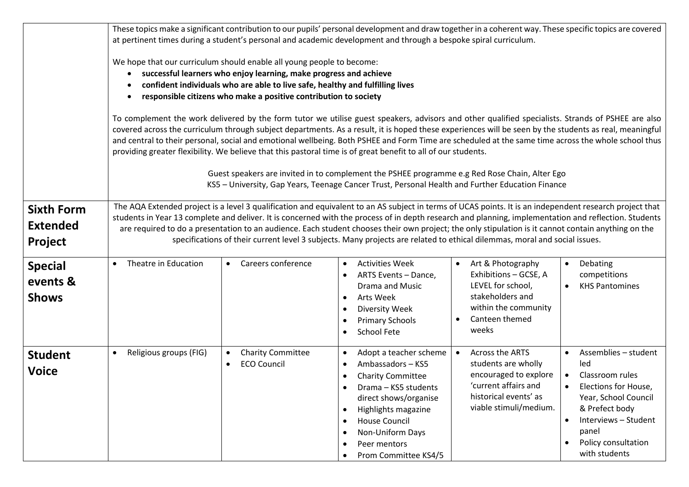|                                                 |                                                                                                                                                                                                                                                                                                                                                                                                                                                                                                                                                                                                      | These topics make a significant contribution to our pupils' personal development and draw together in a coherent way. These specific topics are covered<br>at pertinent times during a student's personal and academic development and through a bespoke spiral curriculum.                     |                                                                                                                                                                                                                                                                                                                         |                                                                                                                                                                  |                                                                                                                                                                                                                     |  |  |
|-------------------------------------------------|------------------------------------------------------------------------------------------------------------------------------------------------------------------------------------------------------------------------------------------------------------------------------------------------------------------------------------------------------------------------------------------------------------------------------------------------------------------------------------------------------------------------------------------------------------------------------------------------------|-------------------------------------------------------------------------------------------------------------------------------------------------------------------------------------------------------------------------------------------------------------------------------------------------|-------------------------------------------------------------------------------------------------------------------------------------------------------------------------------------------------------------------------------------------------------------------------------------------------------------------------|------------------------------------------------------------------------------------------------------------------------------------------------------------------|---------------------------------------------------------------------------------------------------------------------------------------------------------------------------------------------------------------------|--|--|
|                                                 | ٠                                                                                                                                                                                                                                                                                                                                                                                                                                                                                                                                                                                                    | We hope that our curriculum should enable all young people to become:<br>successful learners who enjoy learning, make progress and achieve<br>confident individuals who are able to live safe, healthy and fulfilling lives<br>responsible citizens who make a positive contribution to society |                                                                                                                                                                                                                                                                                                                         |                                                                                                                                                                  |                                                                                                                                                                                                                     |  |  |
|                                                 | To complement the work delivered by the form tutor we utilise guest speakers, advisors and other qualified specialists. Strands of PSHEE are also<br>covered across the curriculum through subject departments. As a result, it is hoped these experiences will be seen by the students as real, meaningful<br>and central to their personal, social and emotional wellbeing. Both PSHEE and Form Time are scheduled at the same time across the whole school thus<br>providing greater flexibility. We believe that this pastoral time is of great benefit to all of our students.                  |                                                                                                                                                                                                                                                                                                 |                                                                                                                                                                                                                                                                                                                         |                                                                                                                                                                  |                                                                                                                                                                                                                     |  |  |
|                                                 |                                                                                                                                                                                                                                                                                                                                                                                                                                                                                                                                                                                                      |                                                                                                                                                                                                                                                                                                 | Guest speakers are invited in to complement the PSHEE programme e.g Red Rose Chain, Alter Ego<br>KS5 - University, Gap Years, Teenage Cancer Trust, Personal Health and Further Education Finance                                                                                                                       |                                                                                                                                                                  |                                                                                                                                                                                                                     |  |  |
| <b>Sixth Form</b><br><b>Extended</b><br>Project | The AQA Extended project is a level 3 qualification and equivalent to an AS subject in terms of UCAS points. It is an independent research project that<br>students in Year 13 complete and deliver. It is concerned with the process of in depth research and planning, implementation and reflection. Students<br>are required to do a presentation to an audience. Each student chooses their own project; the only stipulation is it cannot contain anything on the<br>specifications of their current level 3 subjects. Many projects are related to ethical dilemmas, moral and social issues. |                                                                                                                                                                                                                                                                                                 |                                                                                                                                                                                                                                                                                                                         |                                                                                                                                                                  |                                                                                                                                                                                                                     |  |  |
| <b>Special</b><br>events &<br><b>Shows</b>      | Theatre in Education                                                                                                                                                                                                                                                                                                                                                                                                                                                                                                                                                                                 | Careers conference<br>$\bullet$                                                                                                                                                                                                                                                                 | <b>Activities Week</b><br>$\bullet$<br>ARTS Events - Dance,<br>$\bullet$<br><b>Drama and Music</b><br>Arts Week<br>$\bullet$<br><b>Diversity Week</b><br>$\bullet$<br><b>Primary Schools</b><br>$\bullet$<br><b>School Fete</b><br>$\bullet$                                                                            | Art & Photography<br>$\bullet$<br>Exhibitions - GCSE, A<br>LEVEL for school,<br>stakeholders and<br>within the community<br>Canteen themed<br>$\bullet$<br>weeks | Debating<br>$\bullet$<br>competitions<br><b>KHS Pantomines</b>                                                                                                                                                      |  |  |
| <b>Student</b><br><b>Voice</b>                  | Religious groups (FIG)                                                                                                                                                                                                                                                                                                                                                                                                                                                                                                                                                                               | <b>Charity Committee</b><br>$\bullet$<br><b>ECO Council</b><br>$\bullet$                                                                                                                                                                                                                        | Adopt a teacher scheme<br>$\bullet$<br>Ambassadors - KS5<br>$\bullet$<br><b>Charity Committee</b><br>Drama – KS5 students<br>$\bullet$<br>direct shows/organise<br>Highlights magazine<br>$\bullet$<br>House Council<br>$\bullet$<br>Non-Uniform Days<br>$\bullet$<br>Peer mentors<br>$\bullet$<br>Prom Committee KS4/5 | <b>Across the ARTS</b><br>$\bullet$<br>students are wholly<br>encouraged to explore<br>'current affairs and<br>historical events' as<br>viable stimuli/medium.   | Assemblies - student<br>$\bullet$<br>led<br>Classroom rules<br>Elections for House,<br>$\bullet$<br>Year, School Council<br>& Prefect body<br>Interviews - Student<br>panel<br>Policy consultation<br>with students |  |  |